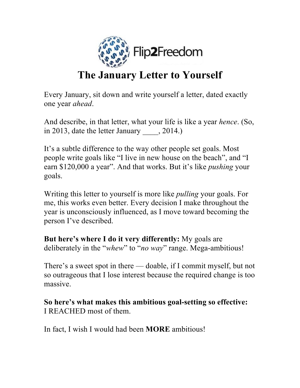

## **The January Letter to Yourself**

Every January, sit down and write yourself a letter, dated exactly one year *ahead*.

And describe, in that letter, what your life is like a year *hence*. (So, in 2013, date the letter January , 2014.)

It's a subtle difference to the way other people set goals. Most people write goals like "I live in new house on the beach", and "I earn \$120,000 a year". And that works. But it's like *pushing* your goals.

Writing this letter to yourself is more like *pulling* your goals. For me, this works even better. Every decision I make throughout the year is unconsciously influenced, as I move toward becoming the person I've described.

**But here's where I do it very differently:** My goals are deliberately in the "*whew*" to "*no way*" range. Mega-ambitious!

There's a sweet spot in there — doable, if I commit myself, but not so outrageous that I lose interest because the required change is too massive.

**So here's what makes this ambitious goal-setting so effective:** I REACHED most of them.

In fact, I wish I would had been **MORE** ambitious!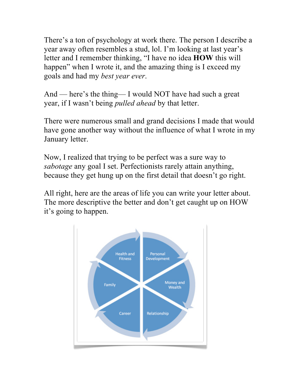There's a ton of psychology at work there. The person I describe a year away often resembles a stud, lol. I'm looking at last year's letter and I remember thinking, "I have no idea **HOW** this will happen" when I wrote it, and the amazing thing is I exceed my goals and had my *best year ever*.

And — here's the thing— I would NOT have had such a great year, if I wasn't being *pulled ahead* by that letter.

There were numerous small and grand decisions I made that would have gone another way without the influence of what I wrote in my January letter.

Now, I realized that trying to be perfect was a sure way to *sabotage* any goal I set. Perfectionists rarely attain anything, because they get hung up on the first detail that doesn't go right.

All right, here are the areas of life you can write your letter about. The more descriptive the better and don't get caught up on HOW it's going to happen.